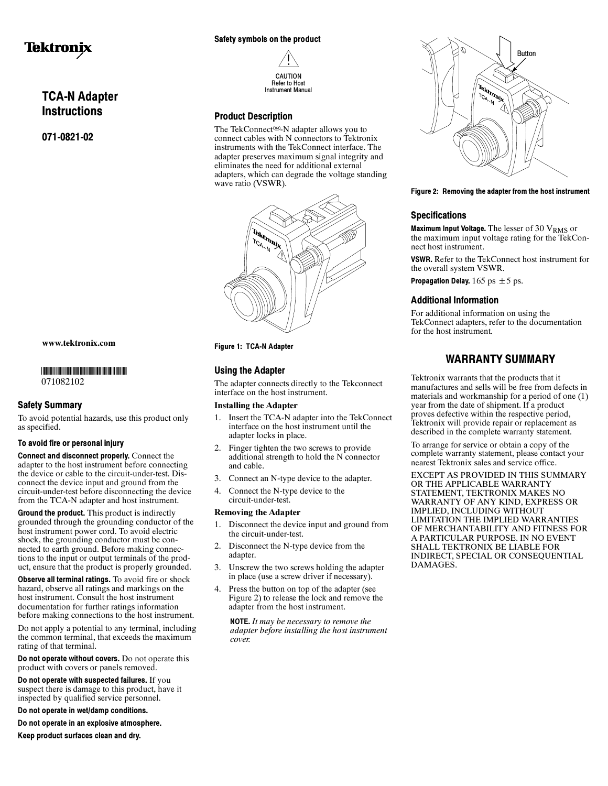# Tektronix

## TCA-N Adapter **Instructions**

071-0821-02

#### www.tektronix.com

-

071082102

#### Safety Summary

To avoid potential hazards, use this product only as specified.

#### To avoid fire or personal injury

Connect and disconnect properly. Connect the adapter to the host instrument before connecting the device or cable to the circuit-under-test. Disconnect the device input and ground from the circuit-under-test before disconnecting the device from the TCA-N adapter and host instrument.

Ground the product. This product is indirectly grounded through the grounding conductor of the host instrument power cord. To avoid electric shock, the grounding conductor must be connected to earth ground. Before making connections to the input or output terminals of the product, ensure that the product is properly grounded.

Observe all terminal ratings. To avoid fire or shock hazard, observe all ratings and markings on the host instrument. Consult the host instrument documentation for further ratings information before making connections to the host instrument.

Do not apply a potential to any terminal, including the common terminal, that exceeds the maximum rating of that terminal.

Do not operate without covers. Do not operate this product with covers or panels removed.

Do not operate with suspected failures. If you suspect there is damage to this product, have it inspected by qualified service personnel.

Do not operate in wet/damp conditions.

Do not operate in an explosive atmosphere.

Keep product surfaces clean and dry.

#### Safety symbols on the product



#### Product Description

The TekConnect<sup>®</sup>-N adapter allows you to connect cables with N connectors to Tektronix instruments with the TekConnect interface. The adapter preserves maximum signal integrity and eliminates the need for additional external adapters, which can degrade the voltage standing wave ratio (VSWR).



Figure 1: TCA-N Adapter

#### Using the Adapter

The adapter connects directly to the Tekconnect interface on the host instrument.

#### Installing the Adapter

- 1. Insert the TCA-N adapter into the TekConnect interface on the host instrument until the adapter locks in place.
- 2. Finger tighten the two screws to provide additional strength to hold the N connector and cable.
- 3. Connect an N-type device to the adapter.
- 4. Connect the N-type device to the circuit-under-test.

#### Removing the Adapter

- 1. Disconnect the device input and ground from the circuit-under-test.
- 2. Disconnect the N-type device from the adapter.
- 3. Unscrew the two screws holding the adapter in place (use a screw driver if necessary).
- 4. Press the button on top of the adapter (see Figure 2) to release the lock and remove the adapter from the host instrument.

NOTE. It may be necessary to remove the adapter before installing the host instrument cover.



#### Figure 2: Removing the adapter from the host instrument

#### **Specifications**

Maximum Input Voltage. The lesser of 30 VRMS or the maximum input voltage rating for the TekConnect host instrument.

VSWR. Refer to the TekConnect host instrument for the overall system VSWR.

Propagation Delay.  $165 \text{ ps } \pm 5 \text{ ps}.$ 

#### Additional Information

For additional information on using the TekConnect adapters, refer to the documentation for the host instrument.

### WARRANTY SUMMARY

Tektronix warrants that the products that it manufactures and sells will be free from defects in materials and workmanship for a period of one (1) year from the date of shipment. If a product proves defective within the respective period, Tektronix will provide repair or replacement as described in the complete warranty statement.

To arrange for service or obtain a copy of the complete warranty statement, please contact your nearest Tektronix sales and service office.

EXCEPT AS PROVIDED IN THIS SUMMARY OR THE APPLICABLE WARRANTY STATEMENT, TEKTRONIX MAKES NO WARRANTY OF ANY KIND, EXPRESS OR IMPLIED, INCLUDING WITHOUT LIMITATION THE IMPLIED WARRANTIES OF MERCHANTABILITY AND FITNESS FOR A PARTICULAR PURPOSE. IN NO EVENT SHALL TEKTRONIX BE LIABLE FOR INDIRECT, SPECIAL OR CONSEQUENTIAL DAMAGES.